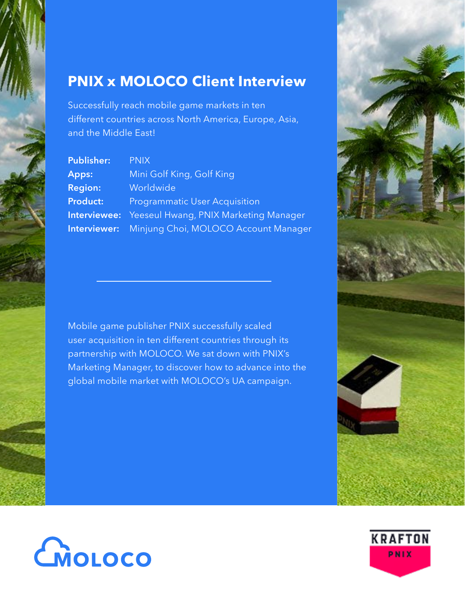# **PNIX x MOLOCO Client Interview**

Successfully reach mobile game markets in ten different countries across North America, Europe, Asia, and the Middle East!

| <b>Publisher:</b> | <b>PNIX</b>                                               |
|-------------------|-----------------------------------------------------------|
| Apps:             | Mini Golf King, Golf King                                 |
| <b>Region:</b>    | Worldwide                                                 |
| <b>Product:</b>   | <b>Programmatic User Acquisition</b>                      |
|                   | <b>Interviewee:</b> Yeeseul Hwang, PNIX Marketing Manager |
|                   | <b>Interviewer:</b> Minjung Choi, MOLOCO Account Manager  |

Mobile game publisher PNIX successfully scaled user acquisition in ten different countries through its partnership with MOLOCO. We sat down with PNIX's Marketing Manager, to discover how to advance into the global mobile market with MOLOCO's UA campaign.





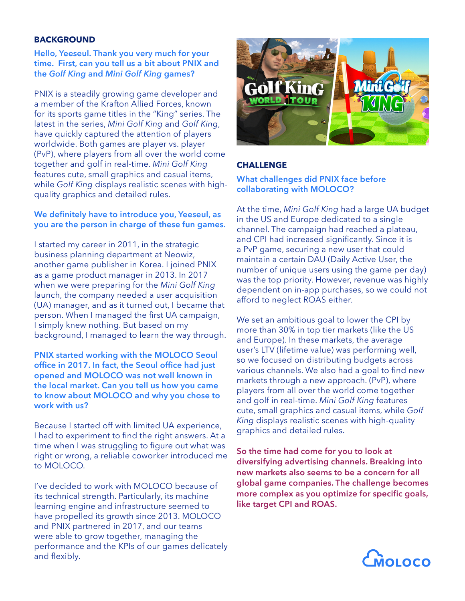## **BACKGROUND**

#### **Hello, Yeeseul. Thank you very much for your time. First, can you tell us a bit about PNIX and the** *Golf King* **and** *Mini Golf King* **games?**

PNIX is a steadily growing game developer and a member of the Krafton Allied Forces, known for its sports game titles in the "King" series. The latest in the series, *Mini Golf King* and *Golf King*, have quickly captured the attention of players worldwide. Both games are player vs. player (PvP), where players from all over the world come together and golf in real-time. *Mini Golf King* features cute, small graphics and casual items, while *Golf King* displays realistic scenes with highquality graphics and detailed rules.

## **We definitely have to introduce you, Yeeseul, as you are the person in charge of these fun games.**

I started my career in 2011, in the strategic business planning department at Neowiz, another game publisher in Korea. I joined PNIX as a game product manager in 2013. In 2017 when we were preparing for the *Mini Golf King* launch, the company needed a user acquisition (UA) manager, and as it turned out, I became that person. When I managed the first UA campaign, I simply knew nothing. But based on my background, I managed to learn the way through.

**PNIX started working with the MOLOCO Seoul office in 2017. In fact, the Seoul office had just opened and MOLOCO was not well known in the local market. Can you tell us how you came to know about MOLOCO and why you chose to work with us?**

Because I started off with limited UA experience, I had to experiment to find the right answers. At a time when I was struggling to figure out what was right or wrong, a reliable coworker introduced me to MOLOCO.

I've decided to work with MOLOCO because of its technical strength. Particularly, its machine learning engine and infrastructure seemed to have propelled its growth since 2013. MOLOCO and PNIX partnered in 2017, and our teams were able to grow together, managing the performance and the KPIs of our games delicately and flexibly.



# **CHALLENGE**

## **What challenges did PNIX face before collaborating with MOLOCO?**

At the time, *Mini Golf King* had a large UA budget in the US and Europe dedicated to a single channel. The campaign had reached a plateau, and CPI had increased significantly. Since it is a PvP game, securing a new user that could maintain a certain DAU (Daily Active User, the number of unique users using the game per day) was the top priority. However, revenue was highly dependent on in-app purchases, so we could not afford to neglect ROAS either.

We set an ambitious goal to lower the CPI by more than 30% in top tier markets (like the US and Europe). In these markets, the average user's LTV (lifetime value) was performing well, so we focused on distributing budgets across various channels. We also had a goal to find new markets through a new approach. (PvP), where players from all over the world come together and golf in real-time. *Mini Golf King* features cute, small graphics and casual items, while *Golf King* displays realistic scenes with high-quality graphics and detailed rules.

**So the time had come for you to look at diversifying advertising channels. Breaking into new markets also seems to be a concern for all global game companies. The challenge becomes more complex as you optimize for specific goals, like target CPI and ROAS.**

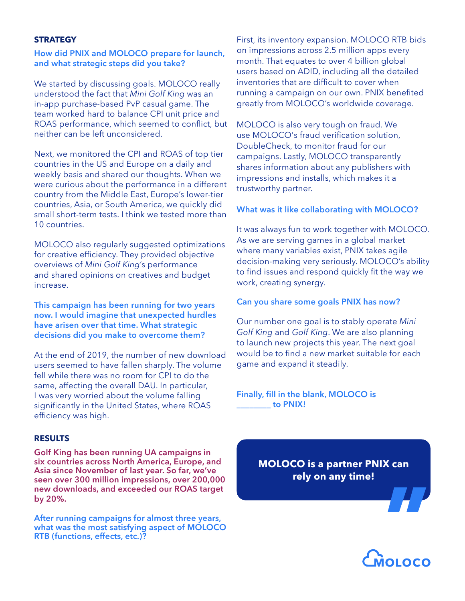#### **STRATEGY**

#### **How did PNIX and MOLOCO prepare for launch, and what strategic steps did you take?**

We started by discussing goals. MOLOCO really understood the fact that *Mini Golf King* was an in-app purchase-based PvP casual game. The team worked hard to balance CPI unit price and ROAS performance, which seemed to conflict, but neither can be left unconsidered.

Next, we monitored the CPI and ROAS of top tier countries in the US and Europe on a daily and weekly basis and shared our thoughts. When we were curious about the performance in a different country from the Middle East, Europe's lower-tier countries, Asia, or South America, we quickly did small short-term tests. I think we tested more than 10 countries.

MOLOCO also regularly suggested optimizations for creative efficiency. They provided objective overviews of *Mini Golf King*'s performance and shared opinions on creatives and budget increase.

**This campaign has been running for two years now. I would imagine that unexpected hurdles have arisen over that time. What strategic decisions did you make to overcome them?**

At the end of 2019, the number of new download users seemed to have fallen sharply. The volume fell while there was no room for CPI to do the same, affecting the overall DAU. In particular, I was very worried about the volume falling significantly in the United States, where ROAS efficiency was high.

#### **RESULTS**

**Golf King has been running UA campaigns in six countries across North America, Europe, and Asia since November of last year. So far, we've seen over 300 million impressions, over 200,000 new downloads, and exceeded our ROAS target by 20%.**

**After running campaigns for almost three years, what was the most satisfying aspect of MOLOCO RTB (functions, effects, etc.)?**

First, its inventory expansion. MOLOCO RTB bids on impressions across 2.5 million apps every month. That equates to over 4 billion global users based on ADID, including all the detailed inventories that are difficult to cover when running a campaign on our own. PNIX benefited greatly from MOLOCO's worldwide coverage.

MOLOCO is also very tough on fraud. We use MOLOCO's fraud verification solution, DoubleCheck, to monitor fraud for our campaigns. Lastly, MOLOCO transparently shares information about any publishers with impressions and installs, which makes it a trustworthy partner.

#### **What was it like collaborating with MOLOCO?**

It was always fun to work together with MOLOCO. As we are serving games in a global market where many variables exist, PNIX takes agile decision-making very seriously. MOLOCO's ability to find issues and respond quickly fit the way we work, creating synergy.

#### **Can you share some goals PNIX has now?**

Our number one goal is to stably operate *Mini Golf King* and *Golf King*. We are also planning to launch new projects this year. The next goal would be to find a new market suitable for each game and expand it steadily.

#### **Finally, fill in the blank, MOLOCO is \_\_\_\_\_\_\_\_ to PNIX!**

**MOLOCO is a partner PNIX can rely on any time!**



**"**